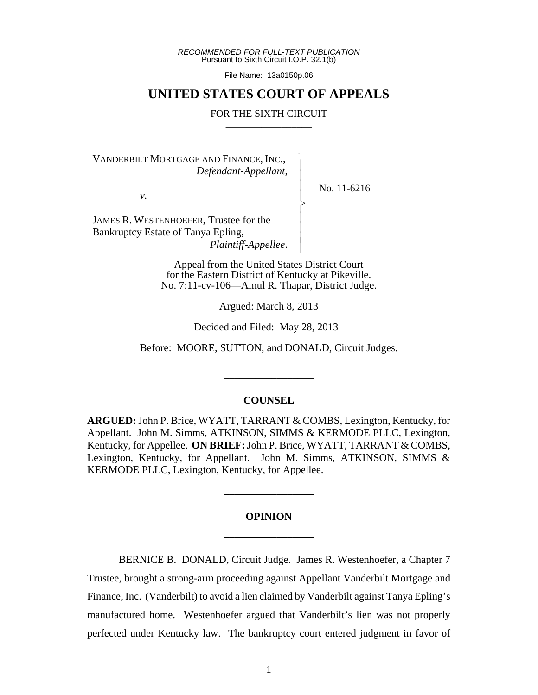*RECOMMENDED FOR FULL-TEXT PUBLICATION* Pursuant to Sixth Circuit I.O.P. 32.1(b)

File Name: 13a0150p.06

## **UNITED STATES COURT OF APPEALS**

#### FOR THE SIXTH CIRCUIT

 $\overline{\phantom{a}}$ - - - > , - - - N

VANDERBILT MORTGAGE AND FINANCE, INC., *Defendant-Appellant*,

*v.*

No. 11-6216

JAMES R. WESTENHOEFER, Trustee for the Bankruptcy Estate of Tanya Epling, *Plaintiff-Appellee*.

> Appeal from the United States District Court for the Eastern District of Kentucky at Pikeville. No. 7:11-cv-106—Amul R. Thapar, District Judge.

> > Argued: March 8, 2013

Decided and Filed: May 28, 2013

Before: MOORE, SUTTON, and DONALD, Circuit Judges.

### **COUNSEL**

\_\_\_\_\_\_\_\_\_\_\_\_\_\_\_\_\_

**ARGUED:** John P. Brice, WYATT, TARRANT & COMBS, Lexington, Kentucky, for Appellant. John M. Simms, ATKINSON, SIMMS & KERMODE PLLC, Lexington, Kentucky, for Appellee. **ON BRIEF:** John P. Brice, WYATT, TARRANT & COMBS, Lexington, Kentucky, for Appellant. John M. Simms, ATKINSON, SIMMS & KERMODE PLLC, Lexington, Kentucky, for Appellee.

# **OPINION \_\_\_\_\_\_\_\_\_\_\_\_\_\_\_\_\_**

**\_\_\_\_\_\_\_\_\_\_\_\_\_\_\_\_\_**

BERNICE B. DONALD, Circuit Judge. James R. Westenhoefer, a Chapter 7 Trustee, brought a strong-arm proceeding against Appellant Vanderbilt Mortgage and Finance, Inc. (Vanderbilt) to avoid a lien claimed by Vanderbilt against Tanya Epling's manufactured home. Westenhoefer argued that Vanderbilt's lien was not properly perfected under Kentucky law. The bankruptcy court entered judgment in favor of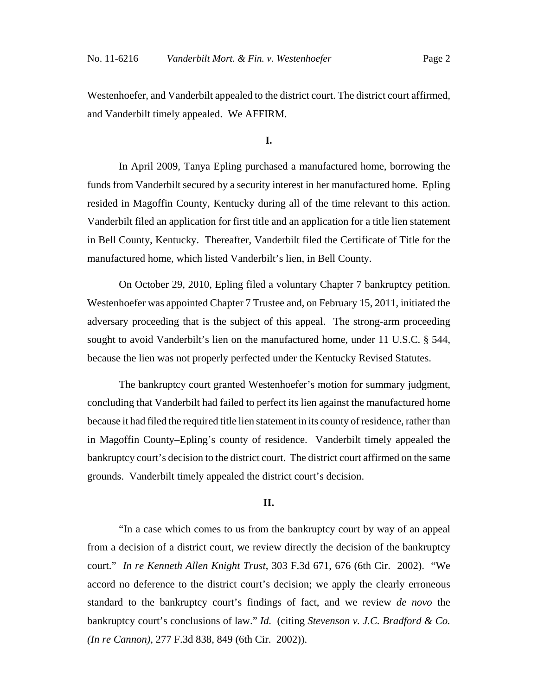Westenhoefer, and Vanderbilt appealed to the district court. The district court affirmed, and Vanderbilt timely appealed. We AFFIRM.

**I.**

In April 2009, Tanya Epling purchased a manufactured home, borrowing the funds from Vanderbilt secured by a security interest in her manufactured home. Epling resided in Magoffin County, Kentucky during all of the time relevant to this action. Vanderbilt filed an application for first title and an application for a title lien statement in Bell County, Kentucky. Thereafter, Vanderbilt filed the Certificate of Title for the manufactured home, which listed Vanderbilt's lien, in Bell County.

On October 29, 2010, Epling filed a voluntary Chapter 7 bankruptcy petition. Westenhoefer was appointed Chapter 7 Trustee and, on February 15, 2011, initiated the adversary proceeding that is the subject of this appeal. The strong-arm proceeding sought to avoid Vanderbilt's lien on the manufactured home, under 11 U.S.C. § 544, because the lien was not properly perfected under the Kentucky Revised Statutes.

The bankruptcy court granted Westenhoefer's motion for summary judgment, concluding that Vanderbilt had failed to perfect its lien against the manufactured home because it had filed the required title lien statement in its county of residence, rather than in Magoffin County–Epling's county of residence. Vanderbilt timely appealed the bankruptcy court's decision to the district court. The district court affirmed on the same grounds. Vanderbilt timely appealed the district court's decision.

### **II.**

"In a case which comes to us from the bankruptcy court by way of an appeal from a decision of a district court, we review directly the decision of the bankruptcy court." *In re Kenneth Allen Knight Trust*, 303 F.3d 671, 676 (6th Cir. 2002). "We accord no deference to the district court's decision; we apply the clearly erroneous standard to the bankruptcy court's findings of fact, and we review *de novo* the bankruptcy court's conclusions of law." *Id.* (citing *Stevenson v. J.C. Bradford & Co. (In re Cannon),* 277 F.3d 838, 849 (6th Cir. 2002)).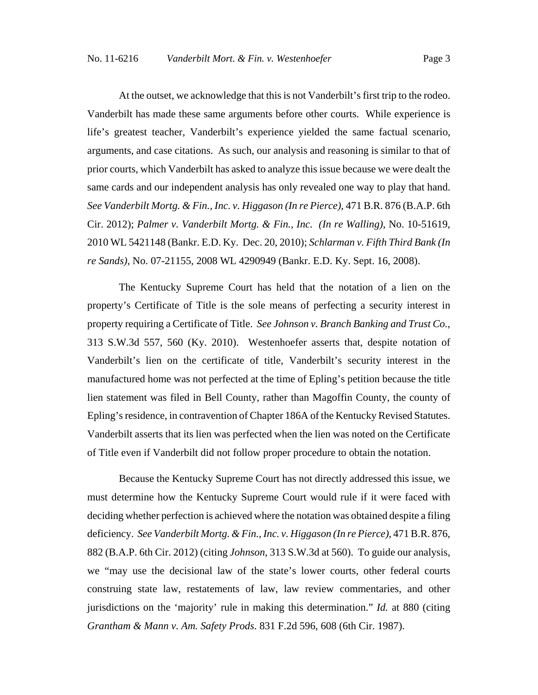At the outset, we acknowledge that this is not Vanderbilt's first trip to the rodeo. Vanderbilt has made these same arguments before other courts. While experience is life's greatest teacher, Vanderbilt's experience yielded the same factual scenario, arguments, and case citations. As such, our analysis and reasoning is similar to that of prior courts, which Vanderbilt has asked to analyze this issue because we were dealt the same cards and our independent analysis has only revealed one way to play that hand. *See Vanderbilt Mortg. & Fin., Inc. v. Higgason (In re Pierce)*, 471 B.R. 876 (B.A.P. 6th Cir. 2012); *Palmer v. Vanderbilt Mortg. & Fin., Inc. (In re Walling)*, No. 10-51619, 2010 WL 5421148 (Bankr. E.D. Ky. Dec. 20, 2010); *Schlarman v. Fifth Third Bank (In re Sands)*, No. 07-21155, 2008 WL 4290949 (Bankr. E.D. Ky. Sept. 16, 2008).

The Kentucky Supreme Court has held that the notation of a lien on the property's Certificate of Title is the sole means of perfecting a security interest in property requiring a Certificate of Title. *See Johnson v. Branch Banking and Trust Co.*, 313 S.W.3d 557, 560 (Ky. 2010). Westenhoefer asserts that, despite notation of Vanderbilt's lien on the certificate of title, Vanderbilt's security interest in the manufactured home was not perfected at the time of Epling's petition because the title lien statement was filed in Bell County, rather than Magoffin County, the county of Epling's residence, in contravention of Chapter 186A of the Kentucky Revised Statutes. Vanderbilt asserts that its lien was perfected when the lien was noted on the Certificate of Title even if Vanderbilt did not follow proper procedure to obtain the notation.

Because the Kentucky Supreme Court has not directly addressed this issue, we must determine how the Kentucky Supreme Court would rule if it were faced with deciding whether perfection is achieved where the notation was obtained despite a filing deficiency. *See Vanderbilt Mortg. & Fin., Inc. v. Higgason (In re Pierce)*, 471 B.R. 876, 882 (B.A.P. 6th Cir. 2012) (citing *Johnson*, 313 S.W.3d at 560). To guide our analysis, we "may use the decisional law of the state's lower courts, other federal courts construing state law, restatements of law, law review commentaries, and other jurisdictions on the 'majority' rule in making this determination." *Id.* at 880 (citing *Grantham & Mann v. Am. Safety Prods*. 831 F.2d 596, 608 (6th Cir. 1987).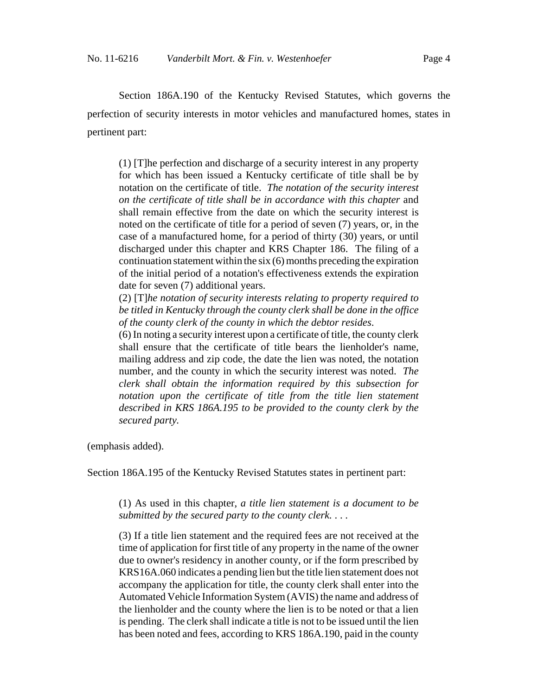Section 186A.190 of the Kentucky Revised Statutes, which governs the perfection of security interests in motor vehicles and manufactured homes, states in pertinent part:

(1) [T]he perfection and discharge of a security interest in any property for which has been issued a Kentucky certificate of title shall be by notation on the certificate of title. *The notation of the security interest on the certificate of title shall be in accordance with this chapter* and shall remain effective from the date on which the security interest is noted on the certificate of title for a period of seven (7) years, or, in the case of a manufactured home, for a period of thirty (30) years, or until discharged under this chapter and KRS Chapter 186. The filing of a continuation statement within the six (6) months preceding the expiration of the initial period of a notation's effectiveness extends the expiration date for seven (7) additional years.

(2) [T]*he notation of security interests relating to property required to be titled in Kentucky through the county clerk shall be done in the office of the county clerk of the county in which the debtor resides*.

(6) In noting a security interest upon a certificate of title, the county clerk shall ensure that the certificate of title bears the lienholder's name, mailing address and zip code, the date the lien was noted, the notation number, and the county in which the security interest was noted. *The clerk shall obtain the information required by this subsection for notation upon the certificate of title from the title lien statement described in KRS 186A.195 to be provided to the county clerk by the secured party.*

(emphasis added).

Section 186A.195 of the Kentucky Revised Statutes states in pertinent part:

(1) As used in this chapter, *a title lien statement is a document to be submitted by the secured party to the county clerk.* . . .

(3) If a title lien statement and the required fees are not received at the time of application for first title of any property in the name of the owner due to owner's residency in another county, or if the form prescribed by KRS16A.060 indicates a pending lien but the title lien statement does not accompany the application for title, the county clerk shall enter into the Automated Vehicle Information System (AVIS) the name and address of the lienholder and the county where the lien is to be noted or that a lien is pending. The clerk shall indicate a title is not to be issued until the lien has been noted and fees, according to KRS 186A.190, paid in the county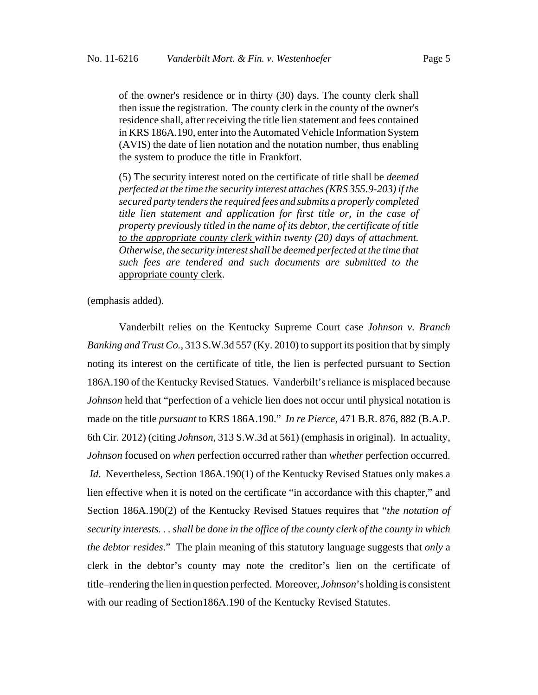of the owner's residence or in thirty (30) days. The county clerk shall then issue the registration. The county clerk in the county of the owner's residence shall, after receiving the title lien statement and fees contained in KRS 186A.190, enter into the Automated Vehicle Information System (AVIS) the date of lien notation and the notation number, thus enabling the system to produce the title in Frankfort.

(5) The security interest noted on the certificate of title shall be *deemed perfected at the time the security interest attaches (KRS 355.9-203) if the secured party tenders the required fees and submits a properly completed title lien statement and application for first title or, in the case of property previously titled in the name of its debtor, the certificate of title to the appropriate county clerk within twenty (20) days of attachment. Otherwise, the security interest shall be deemed perfected at the time that such fees are tendered and such documents are submitted to the* appropriate county clerk.

(emphasis added).

Vanderbilt relies on the Kentucky Supreme Court case *Johnson v. Branch Banking and Trust Co.,* 313 S.W.3d 557 (Ky. 2010) to support its position that by simply noting its interest on the certificate of title, the lien is perfected pursuant to Section 186A.190 of the Kentucky Revised Statues. Vanderbilt's reliance is misplaced because *Johnson* held that "perfection of a vehicle lien does not occur until physical notation is made on the title *pursuant* to KRS 186A.190." *In re Pierce*, 471 B.R. 876, 882 (B.A.P. 6th Cir. 2012) (citing *Johnson*, 313 S.W.3d at 561) (emphasis in original).In actuality, *Johnson* focused on *when* perfection occurred rather than *whether* perfection occurred.  *Id*. Nevertheless, Section 186A.190(1) of the Kentucky Revised Statues only makes a lien effective when it is noted on the certificate "in accordance with this chapter," and Section 186A.190(2) of the Kentucky Revised Statues requires that "*the notation of security interests. . . shall be done in the office of the county clerk of the county in which the debtor resides*." The plain meaning of this statutory language suggests that *only* a clerk in the debtor's county may note the creditor's lien on the certificate of title–rendering the lien in question perfected. Moreover, *Johnson*'s holding is consistent with our reading of Section186A.190 of the Kentucky Revised Statutes.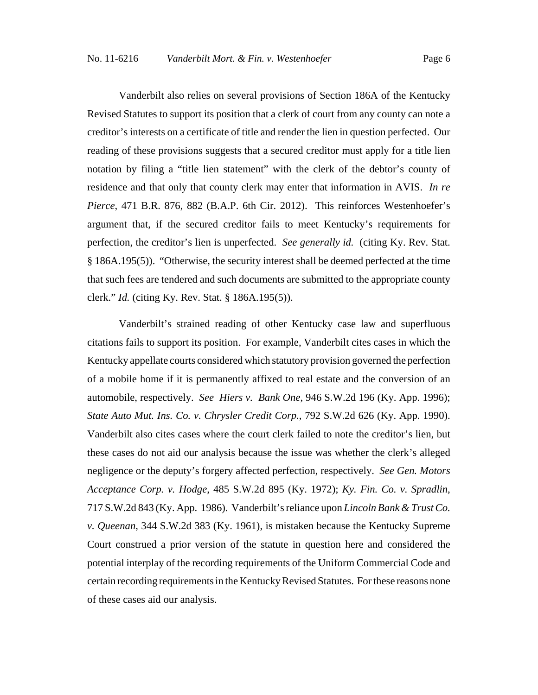Vanderbilt also relies on several provisions of Section 186A of the Kentucky Revised Statutes to support its position that a clerk of court from any county can note a creditor's interests on a certificate of title and render the lien in question perfected. Our reading of these provisions suggests that a secured creditor must apply for a title lien notation by filing a "title lien statement" with the clerk of the debtor's county of residence and that only that county clerk may enter that information in AVIS. *In re Pierce*, 471 B.R. 876, 882 (B.A.P. 6th Cir. 2012). This reinforces Westenhoefer's argument that, if the secured creditor fails to meet Kentucky's requirements for perfection, the creditor's lien is unperfected. *See generally id.* (citing Ky. Rev. Stat. § 186A.195(5)). "Otherwise, the security interest shall be deemed perfected at the time that such fees are tendered and such documents are submitted to the appropriate county clerk." *Id.* (citing Ky. Rev. Stat. § 186A.195(5)).

Vanderbilt's strained reading of other Kentucky case law and superfluous citations fails to support its position. For example, Vanderbilt cites cases in which the Kentucky appellate courts considered which statutory provision governed the perfection of a mobile home if it is permanently affixed to real estate and the conversion of an automobile, respectively. *See Hiers v. Bank One*, 946 S.W.2d 196 (Ky. App. 1996); *State Auto Mut. Ins. Co. v. Chrysler Credit Corp.*, 792 S.W.2d 626 (Ky. App. 1990). Vanderbilt also cites cases where the court clerk failed to note the creditor's lien, but these cases do not aid our analysis because the issue was whether the clerk's alleged negligence or the deputy's forgery affected perfection, respectively. *See Gen. Motors Acceptance Corp. v. Hodge*, 485 S.W.2d 895 (Ky. 1972); *Ky. Fin. Co. v. Spradlin*, 717 S.W.2d 843 (Ky. App. 1986). Vanderbilt's reliance upon *Lincoln Bank & Trust Co. v. Queenan*, 344 S.W.2d 383 (Ky. 1961), is mistaken because the Kentucky Supreme Court construed a prior version of the statute in question here and considered the potential interplay of the recording requirements of the Uniform Commercial Code and certain recording requirements in the Kentucky Revised Statutes. For these reasons none of these cases aid our analysis.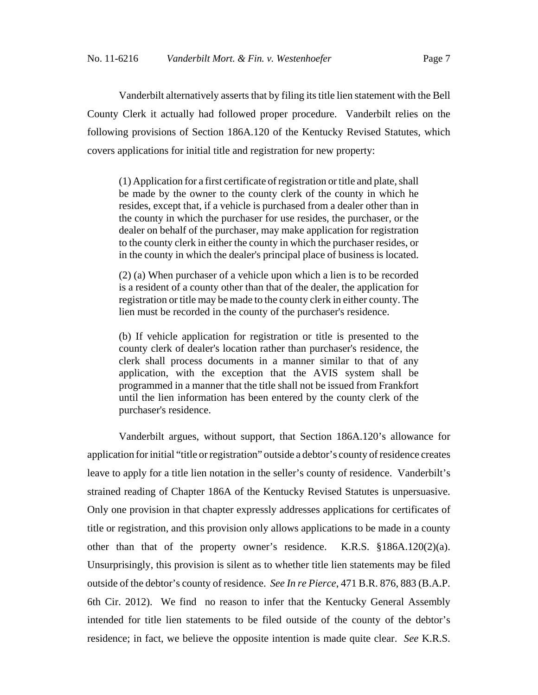Vanderbilt alternatively asserts that by filing its title lien statement with the Bell County Clerk it actually had followed proper procedure. Vanderbilt relies on the following provisions of Section 186A.120 of the Kentucky Revised Statutes, which covers applications for initial title and registration for new property:

(1) Application for a first certificate of registration or title and plate, shall be made by the owner to the county clerk of the county in which he resides, except that, if a vehicle is purchased from a dealer other than in the county in which the purchaser for use resides, the purchaser, or the dealer on behalf of the purchaser, may make application for registration to the county clerk in either the county in which the purchaser resides, or in the county in which the dealer's principal place of business is located.

(2) (a) When purchaser of a vehicle upon which a lien is to be recorded is a resident of a county other than that of the dealer, the application for registration or title may be made to the county clerk in either county. The lien must be recorded in the county of the purchaser's residence.

(b) If vehicle application for registration or title is presented to the county clerk of dealer's location rather than purchaser's residence, the clerk shall process documents in a manner similar to that of any application, with the exception that the AVIS system shall be programmed in a manner that the title shall not be issued from Frankfort until the lien information has been entered by the county clerk of the purchaser's residence.

Vanderbilt argues, without support, that Section 186A.120's allowance for application for initial "title or registration" outside a debtor's county of residence creates leave to apply for a title lien notation in the seller's county of residence. Vanderbilt's strained reading of Chapter 186A of the Kentucky Revised Statutes is unpersuasive. Only one provision in that chapter expressly addresses applications for certificates of title or registration, and this provision only allows applications to be made in a county other than that of the property owner's residence. K.R.S. §186A.120(2)(a). Unsurprisingly, this provision is silent as to whether title lien statements may be filed outside of the debtor's county of residence. *See In re Pierce*, 471 B.R. 876, 883 (B.A.P. 6th Cir. 2012). We find no reason to infer that the Kentucky General Assembly intended for title lien statements to be filed outside of the county of the debtor's residence; in fact, we believe the opposite intention is made quite clear. *See* K.R.S.